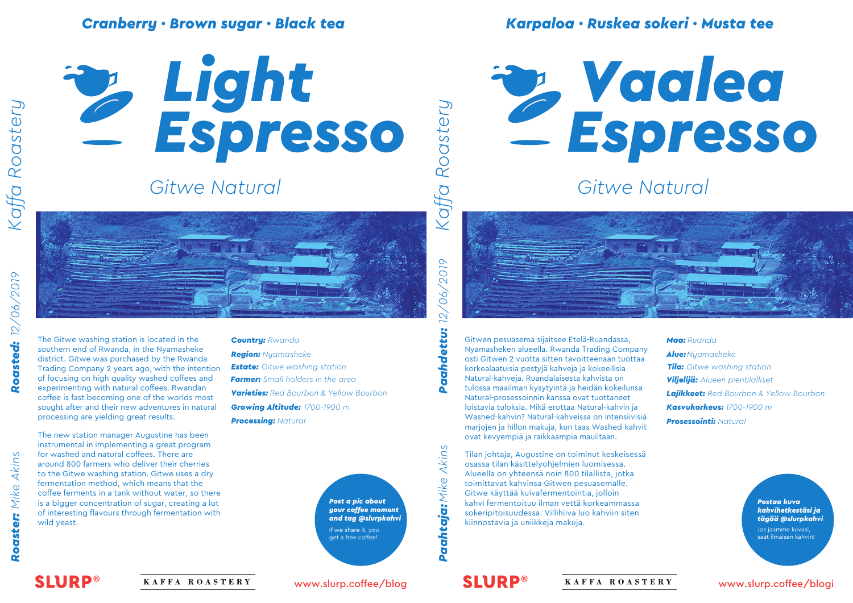# *Cranberry · Brown sugar · Black tea*



# *Gitwe Natural*



Roaster: Mike Akins

*Kaffa Roastery*

Kaffa Roastery

The Gitwe washing station is located in the southern end of Rwanda, in the Nyamasheke district. Gitwe was purchased by the Rwanda Trading Company 2 years ago, with the intention of focusing on high quality washed coffees and experimenting with natural coffees. Rwandan coffee is fast becoming one of the worlds most sought after and their new adventures in natural processing are yielding great results.

The new station manager Augustine has been instrumental in implementing a great program for washed and natural coffees. There are around 800 farmers who deliver their cherries to the Gitwe washing station. Gitwe uses a dry fermentation method, which means that the coffee ferments in a tank without water, so there is a bigger concentration of sugar, creating a lot of interesting flavours through fermentation with wild yeast.

#### *Country: Rwanda*

*Region: Nyamasheke Varieties: Red Bourbon & Yellow Bourbon Growing Altitude: 1700-1900 m Processing: Natural Farmer: Small holders in the area*

> *Post a pic about your coffee moment and tag @slurpkahvi* If we share it, you get a free coffee!

*Karpaloa · Ruskea sokeri · Musta tee*



*Gitwe Natural*



*Estate: Gitwe washing station Tila: Gitwe washing station* korkealaatuisia pestyjä kahveja ja kokeellisia Gitwen pesuasema sijaitsee Etelä-Ruandassa, Nyamasheken alueella. Rwanda Trading Company osti Gitwen 2 vuotta sitten tavoitteenaan tuottaa Natural-kahveja. Ruandalaisesta kahvista on tulossa maailman kysytyintä ja heidän kokeilunsa Natural-prosessoinnin kanssa ovat tuottaneet loistavia tuloksia. Mikä erottaa Natural-kahvin ja Washed-kahvin? Natural-kahveissa on intensiivisiä marjojen ja hillon makuja, kun taas Washed-kahvit ovat kevyempiä ja raikkaampia mauiltaan.

> Tilan johtaja, Augustine on toiminut keskeisessä osassa tilan käsittelyohjelmien luomisessa. Alueella on yhteensä noin 800 tilallista, jotka toimittavat kahvinsa Gitwen pesuasemalle. Gitwe käyttää kuivafermentointia, jolloin kahvi fermentoituu ilman vettä korkeammassa sokeripitoisuudessa. Villihiiva luo kahviin siten kiinnostavia ja uniikkeja makuja.

#### *Maa: Ruanda*

*Alue:Nyamasheke Viljelijä: Alueen pientilalliset Lajikkeet: Red Bourbon & Yellow Bourbon Kasvukorkeus: 1700-1900 m Prosessointi: Natural*

> *Postaa kuva kahvihetkestäsi ja tägää @slurpkahvi*

Jos jaamme kuvasi, saat ilmaisen kahvin!

**SLURP®** 

KAFFA ROASTERY

www.slurp.coffee/blog

*Paahtaja: Mike Akins Paahdettu: 12/06/2019* **Paahtaja:** Mike Akins **SLURP®** 

2019

 $\sim$ 

KAFFA ROASTERY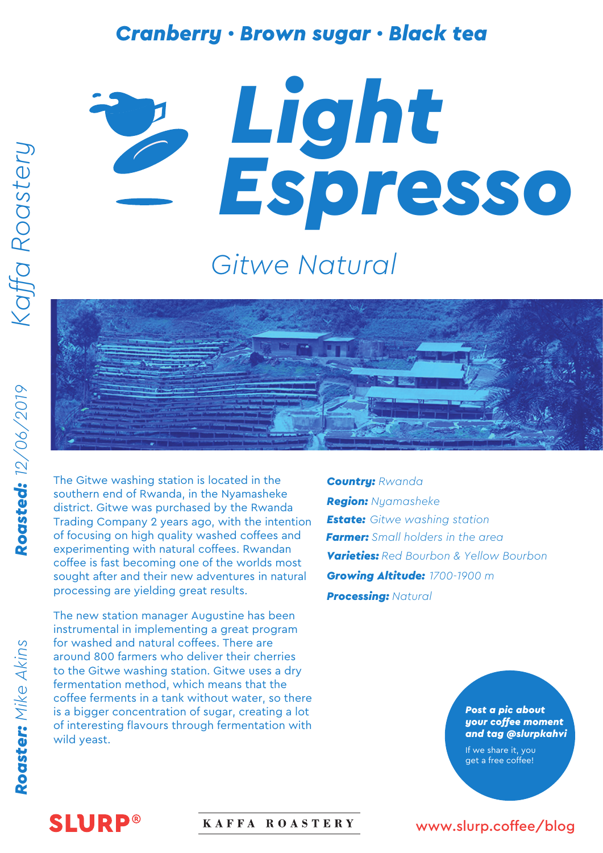#### *Cranberry · Brown sugar · Black tea*

# *Espresso Light*

# *Gitwe Natural*

The Gitwe washing station is located in the southern end of Rwanda, in the Nyamasheke district. Gitwe was purchased by the Rwanda Trading Company 2 years ago, with the intention of focusing on high quality washed coffees and experimenting with natural coffees. Rwandan coffee is fast becoming one of the worlds most sought after and their new adventures in natural processing are yielding great results.

The new station manager Augustine has been instrumental in implementing a great program for washed and natural coffees. There are around 800 farmers who deliver their cherries to the Gitwe washing station. Gitwe uses a dry fermentation method, which means that the coffee ferments in a tank without water, so there is a bigger concentration of sugar, creating a lot of interesting flavours through fermentation with wild yeast.

*Country: Rwanda Region: Nyamasheke Estate: Gitwe washing station Varieties: Red Bourbon & Yellow Bourbon Growing Altitude: 1700-1900 m Processing: Natural Farmer: Small holders in the area*

> *Post a pic about your coffee moment and tag @slurpkahvi*

If we share it, you get a free coffee!

# Roaster: Mike Akins

# **SLURP®**

#### KAFFA ROASTERY

#### www.slurp.coffee/blog